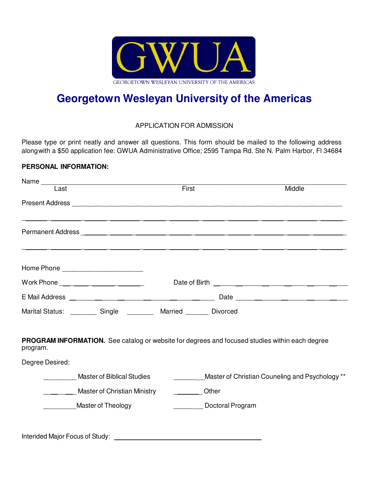

# **Georgetown Wesleyan University of the Americas**

## APPLICATION FOR ADMISSION

Please type or print neatly and answer all questions. This form should be mailed to the following address along with a \$50 application fee: GWUA Administrative Office; 2595 Tampa Rd. Ste N. Palm Harbor, Fl 34684

#### **PERSONAL INFORMATION:**

| Name <sub>____</sub>                                                                                       |                                                            |        |  |  |
|------------------------------------------------------------------------------------------------------------|------------------------------------------------------------|--------|--|--|
| Last                                                                                                       | First                                                      | Middle |  |  |
|                                                                                                            |                                                            |        |  |  |
|                                                                                                            |                                                            |        |  |  |
|                                                                                                            |                                                            |        |  |  |
|                                                                                                            |                                                            |        |  |  |
| Home Phone _____________________                                                                           |                                                            |        |  |  |
| Work Phone ____ _____ _______ _______                                                                      |                                                            |        |  |  |
|                                                                                                            |                                                            |        |  |  |
| Marital Status: __________ Single __________ Married ________ Divorced                                     |                                                            |        |  |  |
| PROGRAM INFORMATION. See catalog or website for degrees and focused studies within each degree<br>program. |                                                            |        |  |  |
| Degree Desired:                                                                                            |                                                            |        |  |  |
| <b>Master of Biblical Studies</b>                                                                          | ___________Master of Christian Couneling and Psychology ** |        |  |  |
| ________ Master of Christian Ministry                                                                      | Other                                                      |        |  |  |
| Master of Theology                                                                                         | Doctoral Program                                           |        |  |  |
|                                                                                                            |                                                            |        |  |  |
|                                                                                                            |                                                            |        |  |  |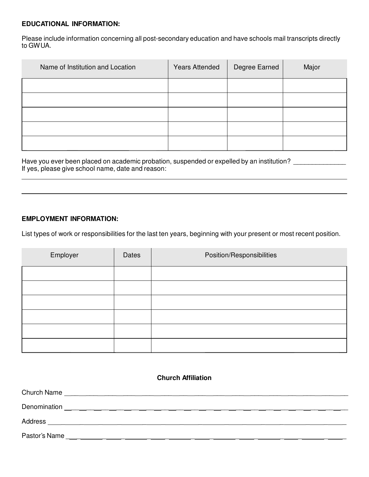#### **EDUCATIONAL INFORMATION:**

Please include information concerning all post-secondary education and have schools mail transcripts directly to GWUA.

| Name of Institution and Location | <b>Years Attended</b> | Degree Earned | Major |
|----------------------------------|-----------------------|---------------|-------|
|                                  |                       |               |       |
|                                  |                       |               |       |
|                                  |                       |               |       |
|                                  |                       |               |       |
|                                  |                       |               |       |

Have you ever been placed on academic probation, suspended or expelled by an institution? \_\_\_\_\_\_\_\_\_\_\_\_\_\_\_\_ If yes, please give school name, date and reason:

#### **EMPLOYMENT INFORMATION:**

List types of work or responsibilities for the last ten years, beginning with your present or most recent position.

| Employer | Dates | Position/Responsibilities |
|----------|-------|---------------------------|
|          |       |                           |
|          |       |                           |
|          |       |                           |
|          |       |                           |
|          |       |                           |
|          |       |                           |

| <b>Church Affiliation</b> |                                                          |  |  |
|---------------------------|----------------------------------------------------------|--|--|
|                           |                                                          |  |  |
|                           |                                                          |  |  |
|                           |                                                          |  |  |
| Pastor's Name             | <u> 1980 - Jan Barat, Amerikaansk politiker († 1908)</u> |  |  |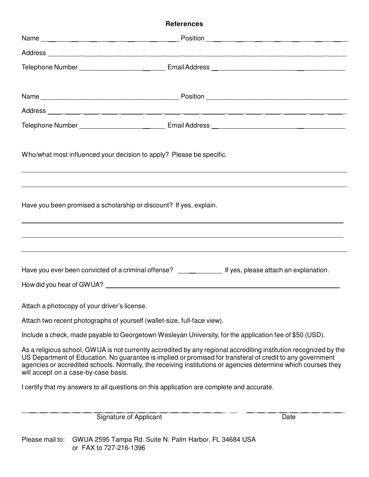### **References**

| Who/what most influenced your decision to apply? Please be specific.                                                                                                                                                                                                                                                                                                                     |                                                                                                                                                                                                                                |  |  |
|------------------------------------------------------------------------------------------------------------------------------------------------------------------------------------------------------------------------------------------------------------------------------------------------------------------------------------------------------------------------------------------|--------------------------------------------------------------------------------------------------------------------------------------------------------------------------------------------------------------------------------|--|--|
| Have you been promised a scholarship or discount? If yes, explain.                                                                                                                                                                                                                                                                                                                       |                                                                                                                                                                                                                                |  |  |
|                                                                                                                                                                                                                                                                                                                                                                                          | How did you hear of GWUA? Notice that the state of the state of the state of the state of the state of the state of the state of the state of the state of the state of the state of the state of the state of the state of th |  |  |
| Attach a photocopy of your driver's license.                                                                                                                                                                                                                                                                                                                                             |                                                                                                                                                                                                                                |  |  |
| Attach two recent photographs of yourself (wallet-size, full-face view).                                                                                                                                                                                                                                                                                                                 |                                                                                                                                                                                                                                |  |  |
| Include a check, made payable to Georgetown Wesleyan University, for the application fee of \$50 (USD).                                                                                                                                                                                                                                                                                  |                                                                                                                                                                                                                                |  |  |
| As a religious school, GWUA is not currently accredited by any regional accrediting institution recognized by the<br>US Department of Education. No guarantee is implied or promised for transferal of credit to any government<br>agencies or accredited schools. Normally, the receiving institutions or agencies determine which courses they<br>will accept on a case-by-case basis. |                                                                                                                                                                                                                                |  |  |
|                                                                                                                                                                                                                                                                                                                                                                                          | I certify that my answers to all questions on this application are complete and accurate.                                                                                                                                      |  |  |

\_\_ \_ \_ \_ \_ \_ \_ \_ \_ \_ \_ \_ \_ \_ \_ \_ \_ \_ \_ \_ \_ \_ \_ \_ \_ \_ \_ \_ Signature of Applicant Date Date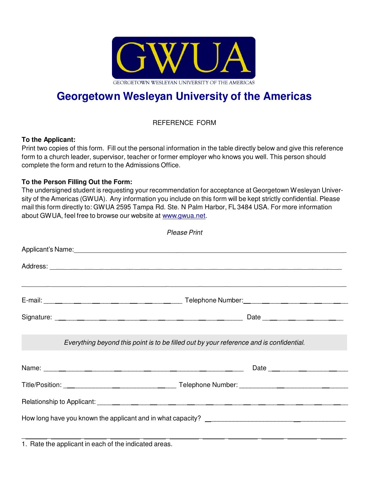

# **Georgetown Wesleyan University of the Americas**

REFERENCE FORM

#### **To the Applicant:**

Print two copies of this form. Fill out the personal information in the table directly below and give this reference form to a church leader, supervisor, teacher or former employer who knows you well. This person should complete the form and return to the Admissions Office.

### **To the Person Filling Out the Form:**

The undersigned student is requesting your recommendation for acceptance at Georgetown Wesleyan University of the Americas (GWUA). Any information you include on this form will be kept strictly confidential. Please mail this form directly to: GWUA 2595 Tampa Rd. Ste. N Palm Harbor, FL 3484 USA. For more information about GWUA, feel free to browse our website at www.gwua.net.

| <b>Please Print</b>                                                                     |
|-----------------------------------------------------------------------------------------|
|                                                                                         |
|                                                                                         |
| ,我们也不会不会不会。""我们的,我们也不会不会不会不会。""我们的,我们也不会不会不会不会不会。""我们的,我们也不会不会不会不会。""我们的,我们也不会不会        |
|                                                                                         |
| Everything beyond this point is to be filled out by your reference and is confidential. |
|                                                                                         |
|                                                                                         |
|                                                                                         |
|                                                                                         |

1. Rate the applicant in each of the indicated areas.